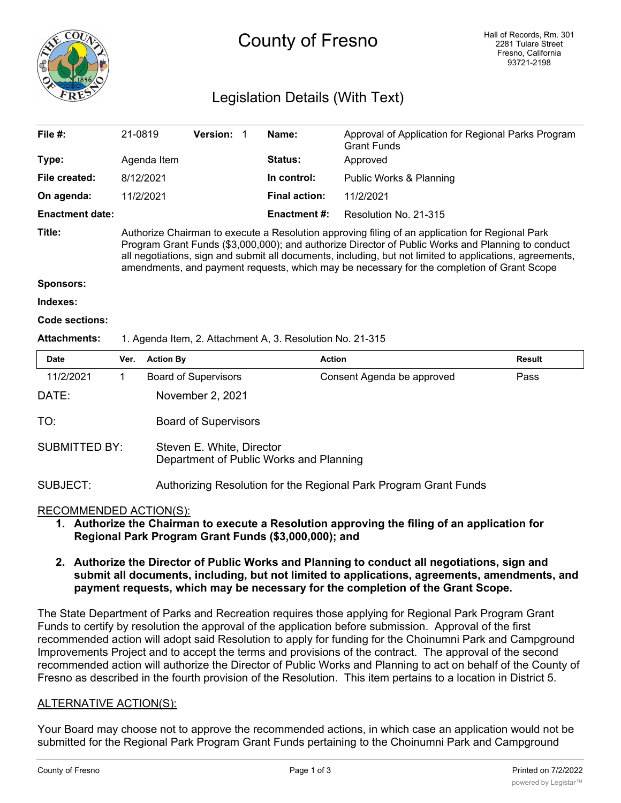

# County of Fresno

## Legislation Details (With Text)

| File #:                | 21-0819                                                                                                                                                                                                                                                                                                                                                                                                        |                        | Version:                    |  | Name:                | Approval of Application for Regional Parks Program<br><b>Grant Funds</b> |               |
|------------------------|----------------------------------------------------------------------------------------------------------------------------------------------------------------------------------------------------------------------------------------------------------------------------------------------------------------------------------------------------------------------------------------------------------------|------------------------|-----------------------------|--|----------------------|--------------------------------------------------------------------------|---------------|
| Type:                  |                                                                                                                                                                                                                                                                                                                                                                                                                | Agenda Item            |                             |  | <b>Status:</b>       | Approved                                                                 |               |
| File created:          |                                                                                                                                                                                                                                                                                                                                                                                                                | 8/12/2021<br>11/2/2021 |                             |  | In control:          | Public Works & Planning<br>11/2/2021                                     |               |
| On agenda:             |                                                                                                                                                                                                                                                                                                                                                                                                                |                        |                             |  | <b>Final action:</b> |                                                                          |               |
| <b>Enactment date:</b> |                                                                                                                                                                                                                                                                                                                                                                                                                |                        |                             |  | <b>Enactment #:</b>  | Resolution No. 21-315                                                    |               |
| Title:                 | Authorize Chairman to execute a Resolution approving filing of an application for Regional Park<br>Program Grant Funds (\$3,000,000); and authorize Director of Public Works and Planning to conduct<br>all negotiations, sign and submit all documents, including, but not limited to applications, agreements,<br>amendments, and payment requests, which may be necessary for the completion of Grant Scope |                        |                             |  |                      |                                                                          |               |
| <b>Sponsors:</b>       |                                                                                                                                                                                                                                                                                                                                                                                                                |                        |                             |  |                      |                                                                          |               |
| Indexes:               |                                                                                                                                                                                                                                                                                                                                                                                                                |                        |                             |  |                      |                                                                          |               |
| Code sections:         |                                                                                                                                                                                                                                                                                                                                                                                                                |                        |                             |  |                      |                                                                          |               |
| <b>Attachments:</b>    | 1. Agenda Item, 2. Attachment A, 3. Resolution No. 21-315                                                                                                                                                                                                                                                                                                                                                      |                        |                             |  |                      |                                                                          |               |
| <b>Date</b>            | Ver.                                                                                                                                                                                                                                                                                                                                                                                                           | <b>Action By</b>       |                             |  | <b>Action</b>        |                                                                          | <b>Result</b> |
| 11/2/2021              | 1                                                                                                                                                                                                                                                                                                                                                                                                              |                        | <b>Board of Supervisors</b> |  |                      | Consent Agenda be approved                                               | Pass          |
| DATE:                  |                                                                                                                                                                                                                                                                                                                                                                                                                |                        | November 2, 2021            |  |                      |                                                                          |               |
| TO:                    |                                                                                                                                                                                                                                                                                                                                                                                                                |                        | <b>Board of Supervisors</b> |  |                      |                                                                          |               |

| <b>SUBMITTED BY:</b> | Steven E. White, Director               |
|----------------------|-----------------------------------------|
|                      | Department of Public Works and Planning |

### SUBJECT: Authorizing Resolution for the Regional Park Program Grant Funds

#### RECOMMENDED ACTION(S):

**1. Authorize the Chairman to execute a Resolution approving the filing of an application for Regional Park Program Grant Funds (\$3,000,000); and**

#### **2. Authorize the Director of Public Works and Planning to conduct all negotiations, sign and submit all documents, including, but not limited to applications, agreements, amendments, and payment requests, which may be necessary for the completion of the Grant Scope.**

The State Department of Parks and Recreation requires those applying for Regional Park Program Grant Funds to certify by resolution the approval of the application before submission. Approval of the first recommended action will adopt said Resolution to apply for funding for the Choinumni Park and Campground Improvements Project and to accept the terms and provisions of the contract. The approval of the second recommended action will authorize the Director of Public Works and Planning to act on behalf of the County of Fresno as described in the fourth provision of the Resolution. This item pertains to a location in District 5.

#### ALTERNATIVE ACTION(S):

Your Board may choose not to approve the recommended actions, in which case an application would not be submitted for the Regional Park Program Grant Funds pertaining to the Choinumni Park and Campground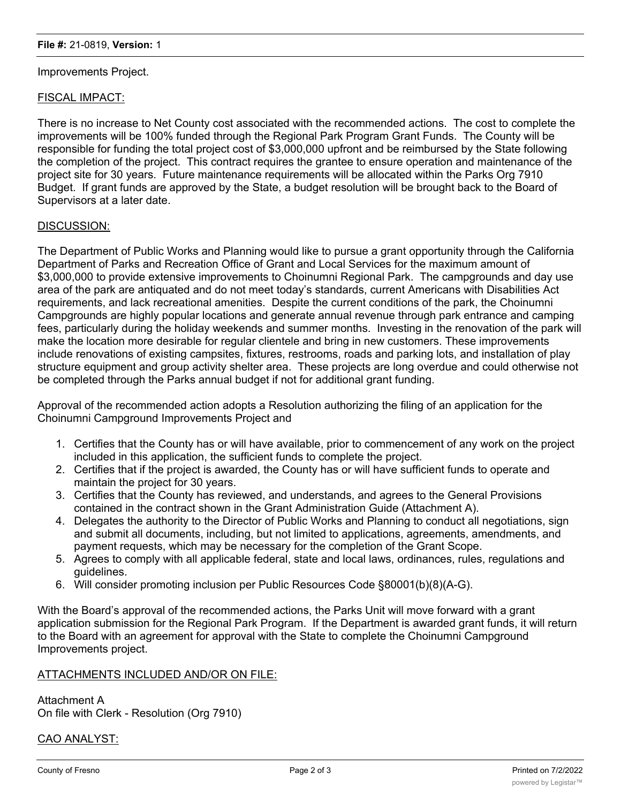#### Improvements Project.

#### FISCAL IMPACT:

There is no increase to Net County cost associated with the recommended actions. The cost to complete the improvements will be 100% funded through the Regional Park Program Grant Funds. The County will be responsible for funding the total project cost of \$3,000,000 upfront and be reimbursed by the State following the completion of the project. This contract requires the grantee to ensure operation and maintenance of the project site for 30 years. Future maintenance requirements will be allocated within the Parks Org 7910 Budget. If grant funds are approved by the State, a budget resolution will be brought back to the Board of Supervisors at a later date.

#### DISCUSSION:

The Department of Public Works and Planning would like to pursue a grant opportunity through the California Department of Parks and Recreation Office of Grant and Local Services for the maximum amount of \$3,000,000 to provide extensive improvements to Choinumni Regional Park. The campgrounds and day use area of the park are antiquated and do not meet today's standards, current Americans with Disabilities Act requirements, and lack recreational amenities. Despite the current conditions of the park, the Choinumni Campgrounds are highly popular locations and generate annual revenue through park entrance and camping fees, particularly during the holiday weekends and summer months. Investing in the renovation of the park will make the location more desirable for regular clientele and bring in new customers. These improvements include renovations of existing campsites, fixtures, restrooms, roads and parking lots, and installation of play structure equipment and group activity shelter area. These projects are long overdue and could otherwise not be completed through the Parks annual budget if not for additional grant funding.

Approval of the recommended action adopts a Resolution authorizing the filing of an application for the Choinumni Campground Improvements Project and

- 1. Certifies that the County has or will have available, prior to commencement of any work on the project included in this application, the sufficient funds to complete the project.
- 2. Certifies that if the project is awarded, the County has or will have sufficient funds to operate and maintain the project for 30 years.
- 3. Certifies that the County has reviewed, and understands, and agrees to the General Provisions contained in the contract shown in the Grant Administration Guide (Attachment A).
- 4. Delegates the authority to the Director of Public Works and Planning to conduct all negotiations, sign and submit all documents, including, but not limited to applications, agreements, amendments, and payment requests, which may be necessary for the completion of the Grant Scope.
- 5. Agrees to comply with all applicable federal, state and local laws, ordinances, rules, regulations and guidelines.
- 6. Will consider promoting inclusion per Public Resources Code §80001(b)(8)(A-G).

With the Board's approval of the recommended actions, the Parks Unit will move forward with a grant application submission for the Regional Park Program. If the Department is awarded grant funds, it will return to the Board with an agreement for approval with the State to complete the Choinumni Campground Improvements project.

#### ATTACHMENTS INCLUDED AND/OR ON FILE:

Attachment A On file with Clerk - Resolution (Org 7910)

#### CAO ANALYST: